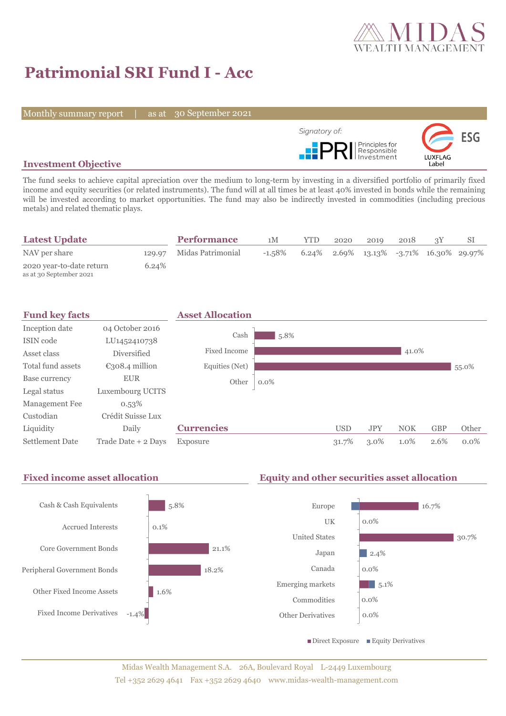

# **Patrimonial SRI Fund I - Acc**

Monthly summary report | as at 30 September 2021



## **Investment Objective**

The fund seeks to achieve capital apreciation over the medium to long-term by investing in a diversified portfolio of primarily fixed income and equity securities (or related instruments). The fund will at all times be at least 40% invested in bonds while the remaining will be invested according to market opportunities. The fund may also be indirectly invested in commodities (including precious metals) and related thematic plays.

| <b>Latest Update</b>                                |       | <b>Performance</b>       | 1М        | <b>YTD</b> | 2020 | 2019                                       | 2018 |  |
|-----------------------------------------------------|-------|--------------------------|-----------|------------|------|--------------------------------------------|------|--|
| NAV per share                                       |       | 129.97 Midas Patrimonial | $-1.58\%$ |            |      | $6.24\%$ 2.69% 13.13% -3.71% 16.30% 29.97% |      |  |
| 2020 year-to-date return<br>as at 30 September 2021 | 6.24% |                          |           |            |      |                                            |      |  |



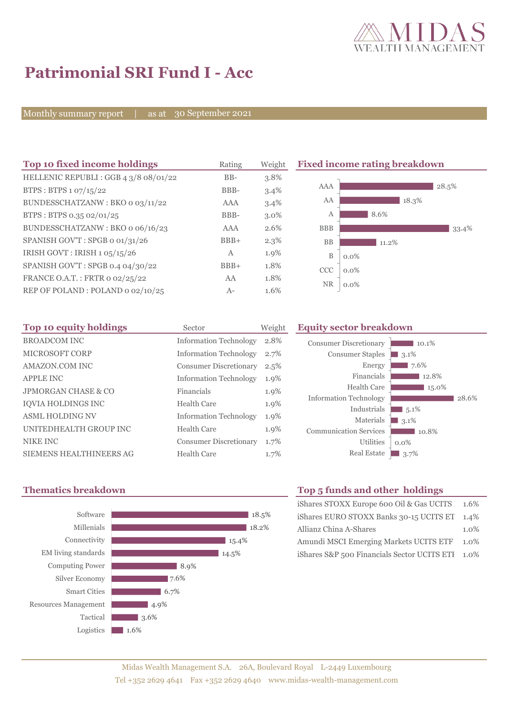

# **Patrimonial SRI Fund I - Acc**

Monthly summary report | as at 30 September 2021

| Top 10 fixed income holdings          | Rating       | Weight  |            | <b>Fixed income rating breakdown</b> |
|---------------------------------------|--------------|---------|------------|--------------------------------------|
| HELLENIC REPUBLI : GGB 4 3/8 08/01/22 | $BB-$        | 3.8%    |            |                                      |
| BTPS: BTPS 1 07/15/22                 | BBB-         | $3.4\%$ | AAA        | 28.5%                                |
| BUNDESSCHATZANW: BKO 0 03/11/22       | AAA          | 3.4%    | AA         | 18.3%                                |
| BTPS: BTPS 0.35 02/01/25              | BBB-         | $3.0\%$ | А          | 8.6%                                 |
| BUNDESSCHATZANW: BKO o 06/16/23       | AAA          | 2.6%    | <b>BBB</b> | 33.4%                                |
| SPANISH GOV'T: SPGB o 01/31/26        | $BBB+$       | $2.3\%$ | <b>BB</b>  | 11.2%                                |
| IRISH GOVT : IRISH $1.05/15/26$       | $\mathbf{A}$ | 1.9%    | B          | $0.0\%$                              |
| SPANISH GOV'T: SPGB 0.4 04/30/22      | $BBB+$       | 1.8%    | <b>CCC</b> | $0.0\%$                              |
| FRANCE O.A.T.: FRTR 0 02/25/22        | AA           | 1.8%    | NR         |                                      |
| REP OF POLAND: POLAND 0 02/10/25      | $A-$         | 1.6%    |            | $0.0\%$                              |

| Top 10 equity holdings         | Sector                        | Weight | Еq |
|--------------------------------|-------------------------------|--------|----|
| <b>BROADCOM INC</b>            | <b>Information Technology</b> | 2.8%   |    |
| <b>MICROSOFT CORP</b>          | <b>Information Technology</b> | 2.7%   |    |
| AMAZON.COM INC                 | <b>Consumer Discretionary</b> | 2.5%   |    |
| <b>APPLE INC</b>               | <b>Information Technology</b> | 1.9%   |    |
| <b>JPMORGAN CHASE &amp; CO</b> | Financials                    | 1.9%   |    |
| <b>IOVIA HOLDINGS INC</b>      | <b>Health Care</b>            | 1.9%   |    |
| <b>ASML HOLDING NV</b>         | <b>Information Technology</b> | 1.9%   |    |
| UNITEDHEALTH GROUP INC         | <b>Health Care</b>            | 1.9%   |    |
| <b>NIKE INC</b>                | <b>Consumer Discretionary</b> | 1.7%   |    |
| <b>SIEMENS HEALTHINEERS AG</b> | <b>Health Care</b>            | 1.7%   |    |

#### **Top 10 equity holdings** Sector Weight **Equity sector breakdown**





### **Thematics breakdown Top 5 funds and other holdings**

| iShares STOXX Europe 600 Oil & Gas UCITS 1.6% |         |
|-----------------------------------------------|---------|
| iShares EURO STOXX Banks 30-15 UCITS ET 1.4%  |         |
| Allianz China A-Shares                        | $1.0\%$ |
| Amundi MSCI Emerging Markets UCITS ETF        | 1.0%    |
| iShares S&P 500 Financials Sector UCITS ETI   | 1.0%    |